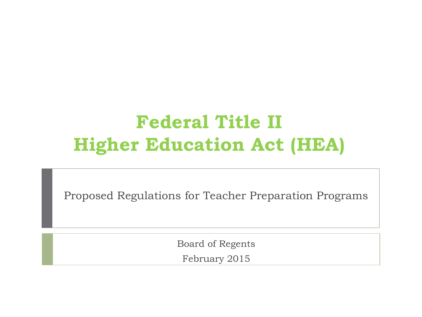## **Federal Title II Higher Education Act (HEA)**

Proposed Regulations for Teacher Preparation Programs

Board of Regents February 2015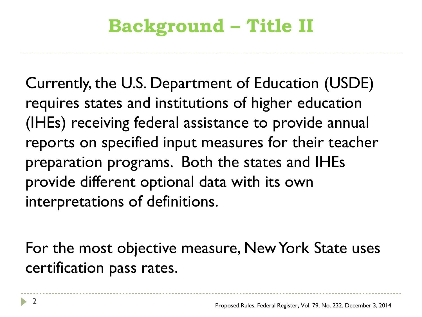# **Background – Title II**

Currently, the U.S. Department of Education (USDE) requires states and institutions of higher education (IHEs) receiving federal assistance to provide annual reports on specified input measures for their teacher preparation programs. Both the states and IHEs provide different optional data with its own interpretations of definitions.

For the most objective measure, New York State uses certification pass rates.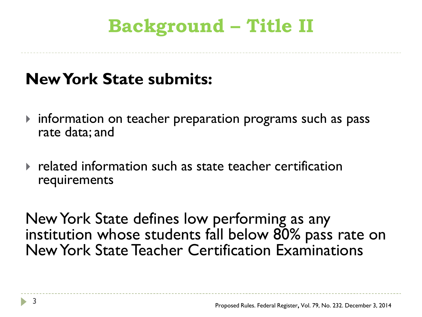# **Background – Title II**

#### **New York State submits:**

- $\triangleright$  information on teacher preparation programs such as pass rate data; and
- related information such as state teacher certification requirements

New York State defines low performing as any institution whose students fall below 80% pass rate on New York State Teacher Certification Examinations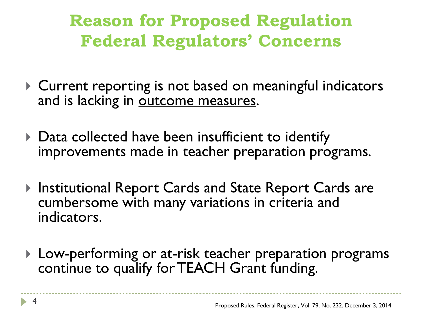### **Reason for Proposed Regulation Federal Regulators' Concerns**

- ▶ Current reporting is not based on meaningful indicators and is lacking in outcome measures.
- ▶ Data collected have been insufficient to identify improvements made in teacher preparation programs.
- ▶ Institutional Report Cards and State Report Cards are cumbersome with many variations in criteria and indicators.
- ▶ Low-performing or at-risk teacher preparation programs continue to qualify for TEACH Grant funding.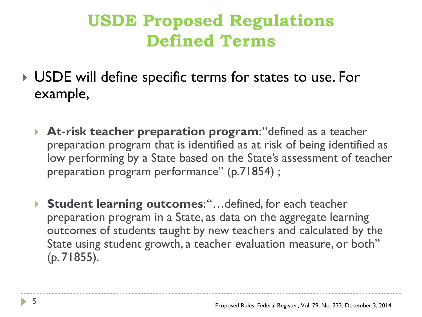#### **USDE Proposed Regulations Defined Terms**

- USDE will define specific terms for states to use. For example,
	- **At-risk teacher preparation program**: "defined as a teacher preparation program that is identified as at risk of being identified as low performing by a State based on the State's assessment of teacher preparation program performance" (p.71854) ;
	- ▶ Student learning outcomes: "...defined, for each teacher preparation program in a State, as data on the aggregate learning outcomes of students taught by new teachers and calculated by the State using student growth, a teacher evaluation measure, or both" (p. 71855).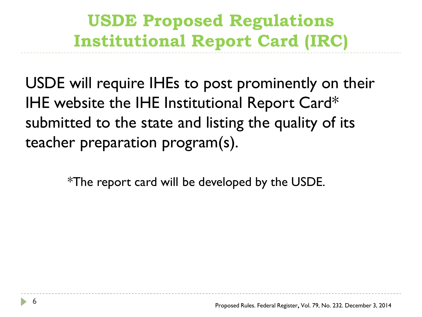### **USDE Proposed Regulations Institutional Report Card (IRC)**

USDE will require IHEs to post prominently on their IHE website the IHE Institutional Report Card\* submitted to the state and listing the quality of its teacher preparation program(s).

\*The report card will be developed by the USDE.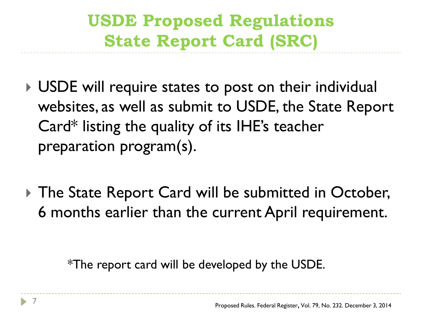## **USDE Proposed Regulations State Report Card (SRC)**

- ▶ USDE will require states to post on their individual websites, as well as submit to USDE, the State Report Card\* listing the quality of its IHE's teacher preparation program(s).
- ▶ The State Report Card will be submitted in October, 6 months earlier than the current April requirement.

\*The report card will be developed by the USDE.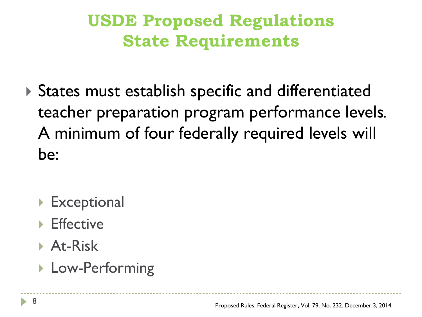## **USDE Proposed Regulations State Requirements**

- States must establish specific and differentiated teacher preparation program performance levels*.*  A minimum of four federally required levels will be:
	- **Exceptional**
	- **Effective**
	- **At-Risk**
	- ▶ Low-Performing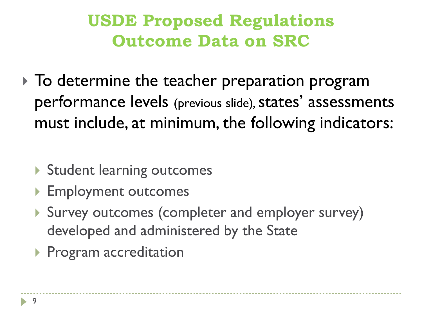### **USDE Proposed Regulations Outcome Data on SRC**

- $\triangleright$  To determine the teacher preparation program performance levels (previous slide)*,* states' assessments must include, at minimum, the following indicators:
	- ▶ Student learning outcomes
	- ▶ Employment outcomes
	- Survey outcomes (completer and employer survey) developed and administered by the State
	- **Program accreditation**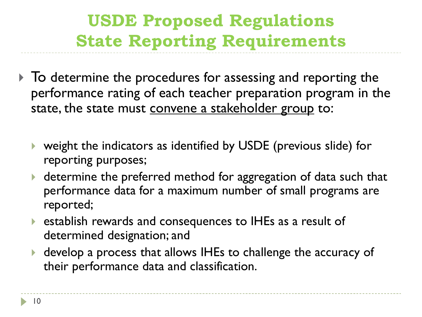### **USDE Proposed Regulations State Reporting Requirements**

- $\triangleright$  To determine the procedures for assessing and reporting the performance rating of each teacher preparation program in the state, the state must convene a stakeholder group to:
	- weight the indicators as identified by USDE (previous slide) for reporting purposes;
	- determine the preferred method for aggregation of data such that performance data for a maximum number of small programs are reported;
	- establish rewards and consequences to IHEs as a result of determined designation; and
	- develop a process that allows IHEs to challenge the accuracy of their performance data and classification.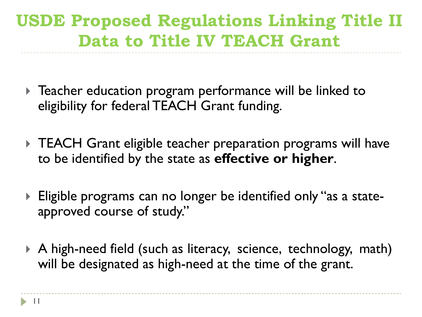### **USDE Proposed Regulations Linking Title II Data to Title IV TEACH Grant**

- Teacher education program performance will be linked to eligibility for federal TEACH Grant funding.
- TEACH Grant eligible teacher preparation programs will have to be identified by the state as **effective or higher**.
- Eligible programs can no longer be identified only "as a stateapproved course of study."
- A high-need field (such as literacy, science, technology, math) will be designated as high-need at the time of the grant.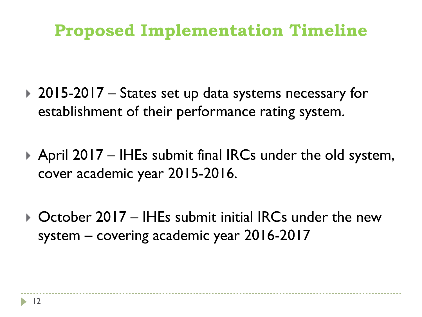#### **Proposed Implementation Timeline**

- ▶ 2015-2017 States set up data systems necessary for establishment of their performance rating system.
- ▶ April 2017 IHEs submit final IRCs under the old system, cover academic year 2015-2016.
- ▶ October 2017 IHEs submit initial IRCs under the new system – covering academic year 2016-2017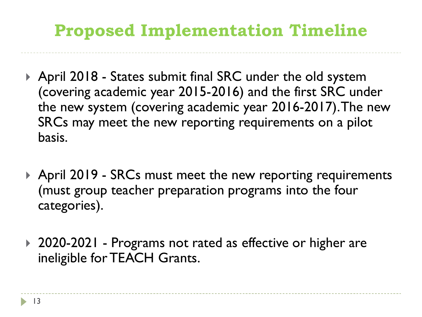#### **Proposed Implementation Timeline**

- ▶ April 2018 States submit final SRC under the old system (covering academic year 2015-2016) and the first SRC under the new system (covering academic year 2016-2017). The new SRCs may meet the new reporting requirements on a pilot basis.
- ▶ April 2019 SRCs must meet the new reporting requirements (must group teacher preparation programs into the four categories).
- ▶ 2020-2021 Programs not rated as effective or higher are ineligible for TEACH Grants.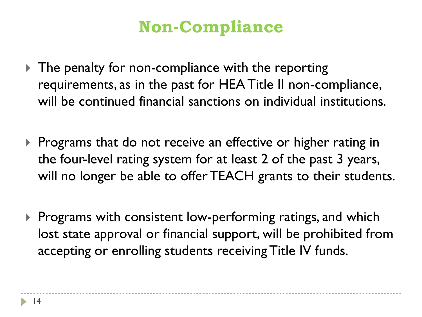## **Non-Compliance**

- The penalty for non-compliance with the reporting requirements, as in the past for HEA Title II non-compliance, will be continued financial sanctions on individual institutions.
- **Programs that do not receive an effective or higher rating in** the four-level rating system for at least 2 of the past 3 years, will no longer be able to offer TEACH grants to their students.
- $\triangleright$  Programs with consistent low-performing ratings, and which lost state approval or financial support, will be prohibited from accepting or enrolling students receiving Title IV funds.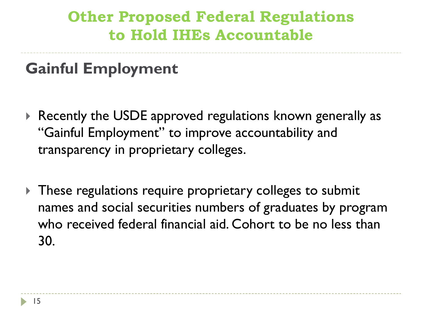#### **Other Proposed Federal Regulations to Hold IHEs Accountable**

**Gainful Employment**

- ▶ Recently the USDE approved regulations known generally as "Gainful Employment" to improve accountability and transparency in proprietary colleges.
- These regulations require proprietary colleges to submit names and social securities numbers of graduates by program who received federal financial aid. Cohort to be no less than 30.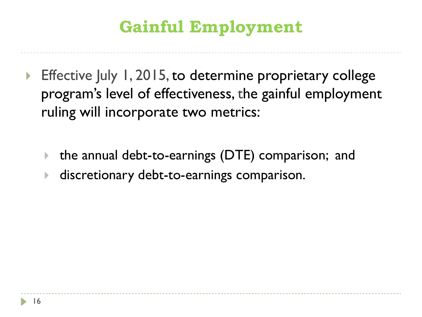## **Gainful Employment**

- ▶ Effective July 1, 2015, to determine proprietary college program's level of effectiveness, the gainful employment ruling will incorporate two metrics:
	- the annual debt-to-earnings (DTE) comparison; and
	- discretionary debt-to-earnings comparison.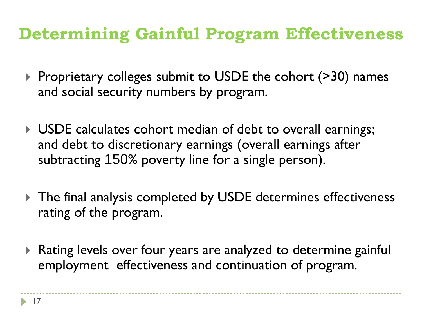#### **Determining Gainful Program Effectiveness**

- ▶ Proprietary colleges submit to USDE the cohort (>30) names and social security numbers by program.
- USDE calculates cohort median of debt to overall earnings; and debt to discretionary earnings (overall earnings after subtracting 150% poverty line for a single person).
- The final analysis completed by USDE determines effectiveness rating of the program.
- Rating levels over four years are analyzed to determine gainful employment effectiveness and continuation of program.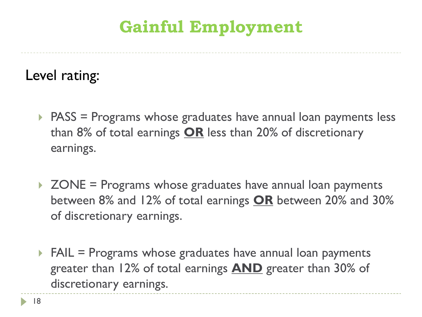### **Gainful Employment**

Level rating:

- ▶ PASS = Programs whose graduates have annual loan payments less than 8% of total earnings **OR** less than 20% of discretionary earnings.
- $\triangleright$  ZONE = Programs whose graduates have annual loan payments between 8% and 12% of total earnings **OR** between 20% and 30% of discretionary earnings.
- $\triangleright$  FAIL = Programs whose graduates have annual loan payments greater than 12% of total earnings **AND** greater than 30% of discretionary earnings.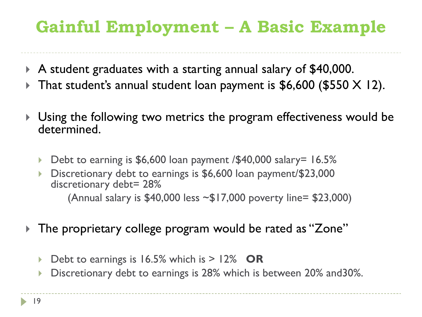## **Gainful Employment – A Basic Example**

- A student graduates with a starting annual salary of \$40,000.
- That student's annual student loan payment is  $$6,600$  (\$550 X 12).
- Using the following two metrics the program effectiveness would be determined.
	- ▶ Debt to earning is \$6,600 loan payment /\$40,000 salary= 16.5%
	- Discretionary debt to earnings is \$6,600 loan payment/\$23,000 discretionary debt= 28% (Annual salary is \$40,000 less ~\$17,000 poverty line= \$23,000)
- The proprietary college program would be rated as "Zone"
	- Debt to earnings is 16.5% which is > 12% **OR**
	- Discretionary debt to earnings is 28% which is between 20% and30%.